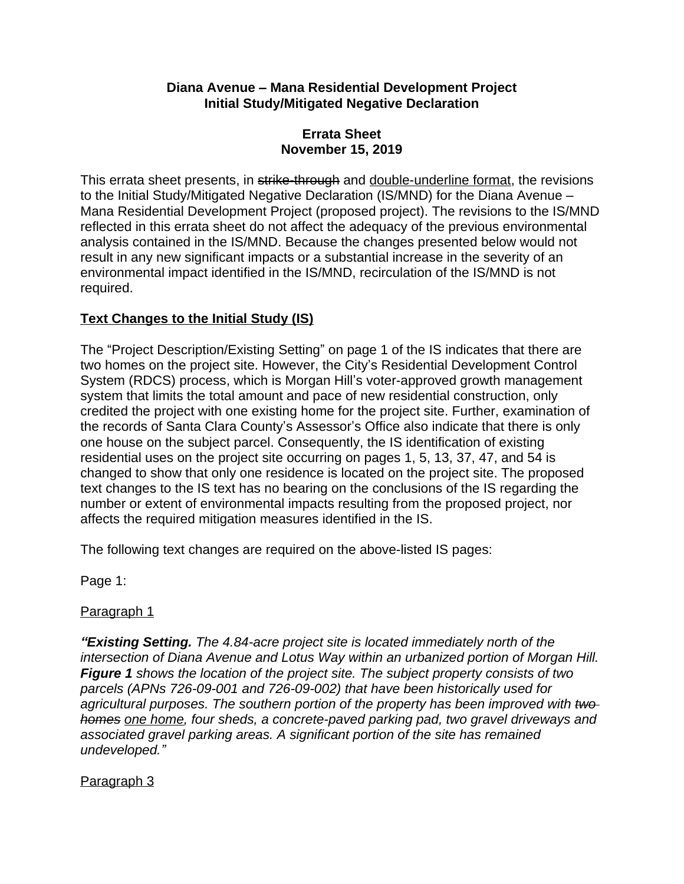#### **Diana Avenue – Mana Residential Development Project Initial Study/Mitigated Negative Declaration**

### **Errata Sheet November 15, 2019**

This errata sheet presents, in strike-through and double-underline format, the revisions to the Initial Study/Mitigated Negative Declaration (IS/MND) for the Diana Avenue – Mana Residential Development Project (proposed project). The revisions to the IS/MND reflected in this errata sheet do not affect the adequacy of the previous environmental analysis contained in the IS/MND. Because the changes presented below would not result in any new significant impacts or a substantial increase in the severity of an environmental impact identified in the IS/MND, recirculation of the IS/MND is not required.

# **Text Changes to the Initial Study (IS)**

The "Project Description/Existing Setting" on page 1 of the IS indicates that there are two homes on the project site. However, the City's Residential Development Control System (RDCS) process, which is Morgan Hill's voter-approved growth management system that limits the total amount and pace of new residential construction, only credited the project with one existing home for the project site. Further, examination of the records of Santa Clara County's Assessor's Office also indicate that there is only one house on the subject parcel. Consequently, the IS identification of existing residential uses on the project site occurring on pages 1, 5, 13, 37, 47, and 54 is changed to show that only one residence is located on the project site. The proposed text changes to the IS text has no bearing on the conclusions of the IS regarding the number or extent of environmental impacts resulting from the proposed project, nor affects the required mitigation measures identified in the IS.

The following text changes are required on the above-listed IS pages:

Page 1:

### Paragraph 1

*"Existing Setting. The 4.84-acre project site is located immediately north of the intersection of Diana Avenue and Lotus Way within an urbanized portion of Morgan Hill. Figure 1 shows the location of the project site. The subject property consists of two parcels (APNs 726-09-001 and 726-09-002) that have been historically used for agricultural purposes. The southern portion of the property has been improved with two homes one home, four sheds, a concrete-paved parking pad, two gravel driveways and associated gravel parking areas. A significant portion of the site has remained undeveloped."*

### Paragraph 3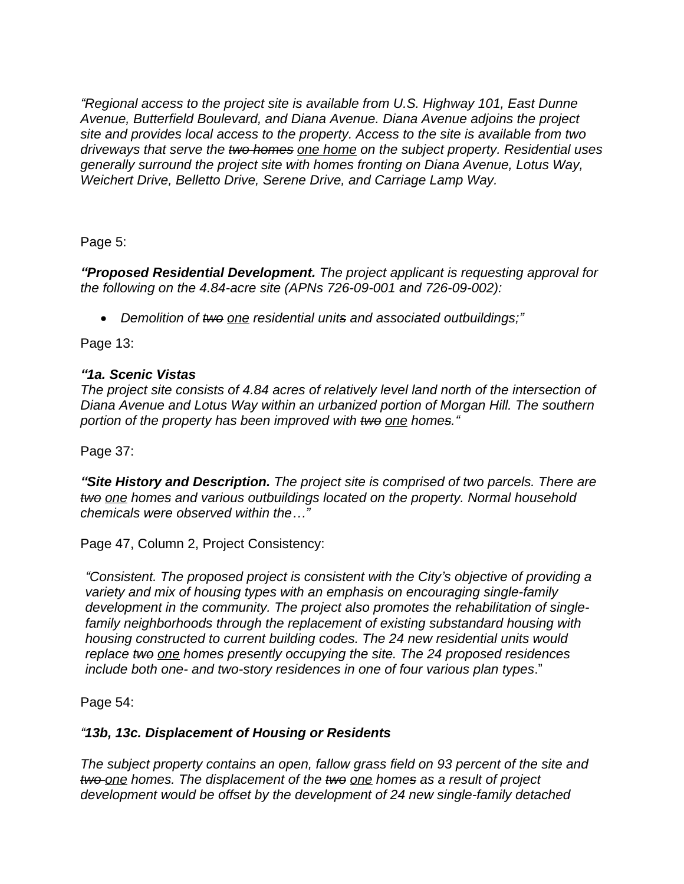*"Regional access to the project site is available from U.S. Highway 101, East Dunne Avenue, Butterfield Boulevard, and Diana Avenue. Diana Avenue adjoins the project site and provides local access to the property. Access to the site is available from two driveways that serve the two homes one home on the subject property. Residential uses generally surround the project site with homes fronting on Diana Avenue, Lotus Way, Weichert Drive, Belletto Drive, Serene Drive, and Carriage Lamp Way.*

Page 5:

*"Proposed Residential Development. The project applicant is requesting approval for the following on the 4.84-acre site (APNs 726-09-001 and 726-09-002):*

*Demolition of two one residential units and associated outbuildings;"*

Page 13:

## *"1a. Scenic Vistas*

*The project site consists of 4.84 acres of relatively level land north of the intersection of Diana Avenue and Lotus Way within an urbanized portion of Morgan Hill. The southern portion of the property has been improved with two one homes."*

Page 37:

*"Site History and Description. The project site is comprised of two parcels. There are two one homes and various outbuildings located on the property. Normal household chemicals were observed within the…"*

Page 47, Column 2, Project Consistency:

*"Consistent. The proposed project is consistent with the City's objective of providing a variety and mix of housing types with an emphasis on encouraging single-family development in the community. The project also promotes the rehabilitation of singlefamily neighborhoods through the replacement of existing substandard housing with housing constructed to current building codes. The 24 new residential units would replace two one homes presently occupying the site. The 24 proposed residences include both one- and two-story residences in one of four various plan types*."

Page 54:

# *"13b, 13c. Displacement of Housing or Residents*

*The subject property contains an open, fallow grass field on 93 percent of the site and two one homes. The displacement of the two one homes as a result of project development would be offset by the development of 24 new single-family detached*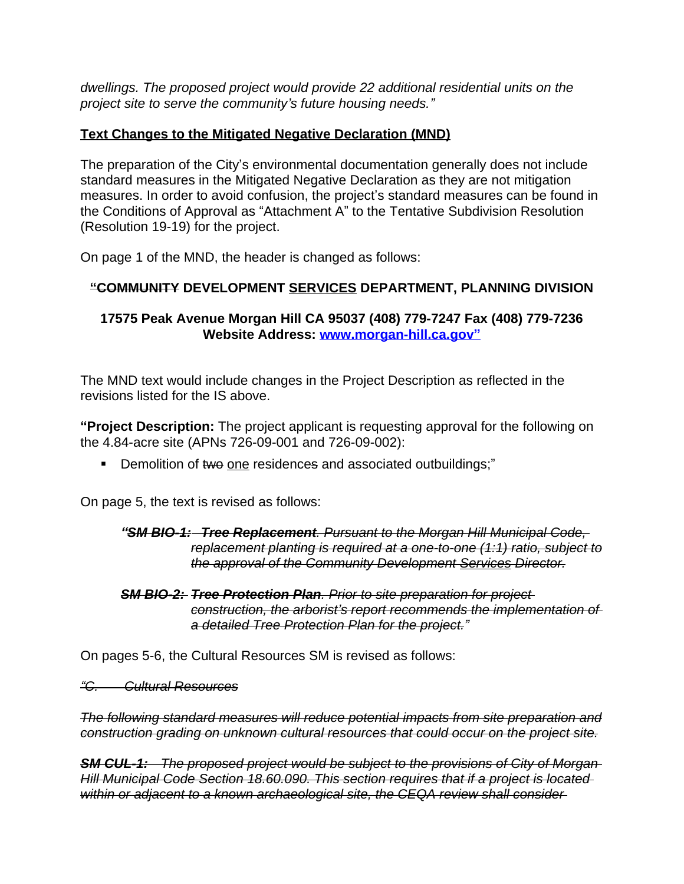*dwellings. The proposed project would provide 22 additional residential units on the project site to serve the community's future housing needs."*

## **Text Changes to the Mitigated Negative Declaration (MND)**

The preparation of the City's environmental documentation generally does not include standard measures in the Mitigated Negative Declaration as they are not mitigation measures. In order to avoid confusion, the project's standard measures can be found in the Conditions of Approval as "Attachment A" to the Tentative Subdivision Resolution (Resolution 19-19) for the project.

On page 1 of the MND, the header is changed as follows:

# **"COMMUNITY DEVELOPMENT SERVICES DEPARTMENT, PLANNING DIVISION**

### **17575 Peak Avenue Morgan Hill CA 95037 (408) 779-7247 Fax (408) 779-7236 Website Address: [www.morgan-hill.ca.gov](http://www.morgan-hill.ca.gov)"**

The MND text would include changes in the Project Description as reflected in the revisions listed for the IS above.

**"Project Description:** The project applicant is requesting approval for the following on the 4.84-acre site (APNs 726-09-001 and 726-09-002):

Demolition of two one residences and associated outbuildings;"

On page 5, the text is revised as follows:

#### *"SM BIO-1: Tree Replacement. Pursuant to the Morgan Hill Municipal Code, replacement planting is required at a one-to-one (1:1) ratio, subject to the approval of the Community Development Services Director.*

*SM BIO-2: Tree Protection Plan. Prior to site preparation for project construction, the arborist's report recommends the implementation of a detailed Tree Protection Plan for the project."*

On pages 5-6, the Cultural Resources SM is revised as follows:

*"C. Cultural Resources*

*The following standard measures will reduce potential impacts from site preparation and construction grading on unknown cultural resources that could occur on the project site.*

*SM CUL-1: The proposed project would be subject to the provisions of City of Morgan Hill Municipal Code Section 18.60.090. This section requires that if a project is located*  within or adjacent to a known archaeological site, the CEQA review shall consider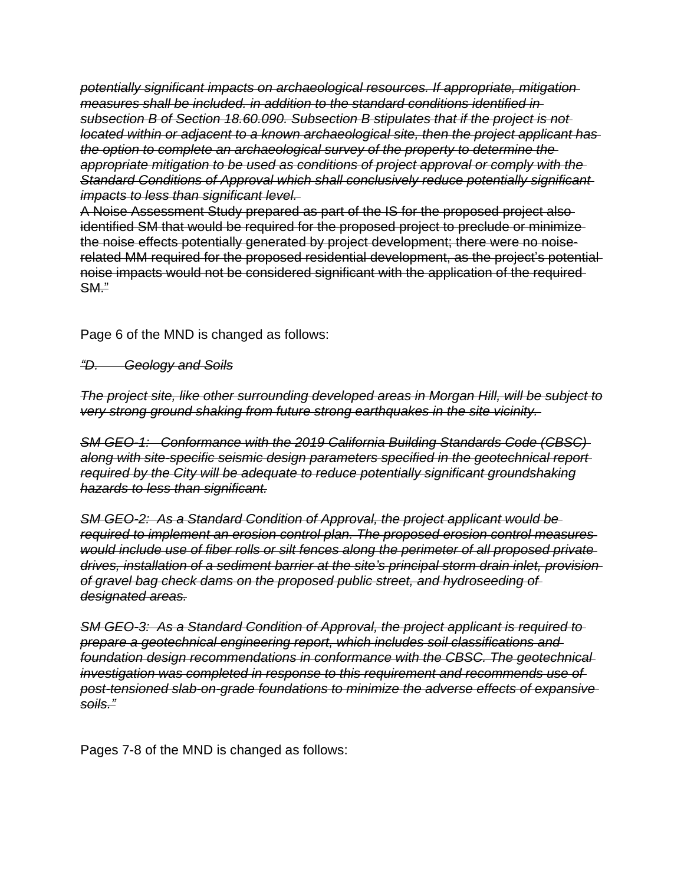*potentially significant impacts on archaeological resources. If appropriate, mitigation measures shall be included. in addition to the standard conditions identified in subsection B of Section 18.60.090. Subsection B stipulates that if the project is not located within or adjacent to a known archaeological site, then the project applicant has the option to complete an archaeological survey of the property to determine the appropriate mitigation to be used as conditions of project approval or comply with the Standard Conditions of Approval which shall conclusively reduce potentially significant impacts to less than significant level.* 

A Noise Assessment Study prepared as part of the IS for the proposed project also identified SM that would be required for the proposed project to preclude or minimize the noise effects potentially generated by project development; there were no noiserelated MM required for the proposed residential development, as the project's potential noise impacts would not be considered significant with the application of the required SM."

Page 6 of the MND is changed as follows:

*"D. Geology and Soils*

*The project site, like other surrounding developed areas in Morgan Hill, will be subject to very strong ground shaking from future strong earthquakes in the site vicinity.* 

*SM GEO-1: Conformance with the 2019 California Building Standards Code (CBSC) along with site-specific seismic design parameters specified in the geotechnical report required by the City will be adequate to reduce potentially significant groundshaking hazards to less than significant.*

*SM GEO-2: As a Standard Condition of Approval, the project applicant would be required to implement an erosion control plan. The proposed erosion control measures would include use of fiber rolls or silt fences along the perimeter of all proposed private drives, installation of a sediment barrier at the site's principal storm drain inlet, provision of gravel bag check dams on the proposed public street, and hydroseeding of designated areas.*

*SM GEO-3: As a Standard Condition of Approval, the project applicant is required to prepare a geotechnical engineering report, which includes soil classifications and foundation design recommendations in conformance with the CBSC. The geotechnical investigation was completed in response to this requirement and recommends use of post-tensioned slab-on-grade foundations to minimize the adverse effects of expansive soils."*

Pages 7-8 of the MND is changed as follows: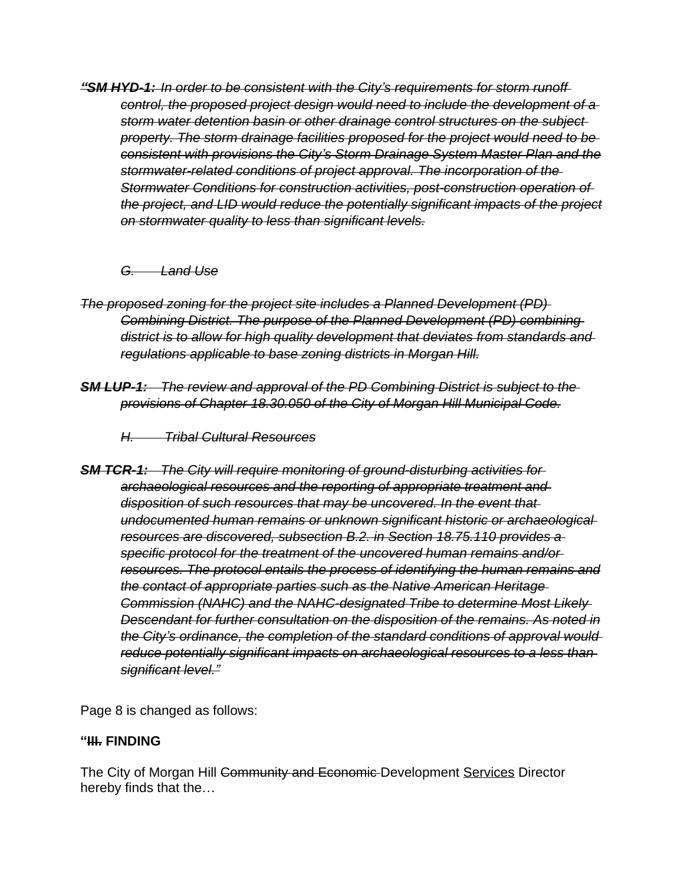*"SM HYD-1: In order to be consistent with the City's requirements for storm runoff control, the proposed project design would need to include the development of a storm water detention basin or other drainage control structures on the subject property. The storm drainage facilities proposed for the project would need to be consistent with provisions the City's Storm Drainage System Master Plan and the stormwater-related conditions of project approval. The incorporation of the Stormwater Conditions for construction activities, post-construction operation of the project, and LID would reduce the potentially significant impacts of the project on stormwater quality to less than significant levels.*

#### *G. Land Use*

- *The proposed zoning for the project site includes a Planned Development (PD) Combining District. The purpose of the Planned Development (PD) combining district is to allow for high quality development that deviates from standards and regulations applicable to base zoning districts in Morgan Hill.*
- *SM LUP-1: The review and approval of the PD Combining District is subject to the provisions of Chapter 18.30.050 of the City of Morgan Hill Municipal Code.*

*H. Tribal Cultural Resources*

*SM TCR-1: The City will require monitoring of ground-disturbing activities for archaeological resources and the reporting of appropriate treatment and disposition of such resources that may be uncovered. In the event that undocumented human remains or unknown significant historic or archaeological resources are discovered, subsection B.2. in Section 18.75.110 provides a specific protocol for the treatment of the uncovered human remains and/or resources. The protocol entails the process of identifying the human remains and the contact of appropriate parties such as the Native American Heritage Commission (NAHC) and the NAHC-designated Tribe to determine Most Likely Descendant for further consultation on the disposition of the remains. As noted in the City's ordinance, the completion of the standard conditions of approval would reduce potentially significant impacts on archaeological resources to a less than significant level."*

Page 8 is changed as follows:

# **"III. FINDING**

The City of Morgan Hill Community and Economic Development Services Director hereby finds that the…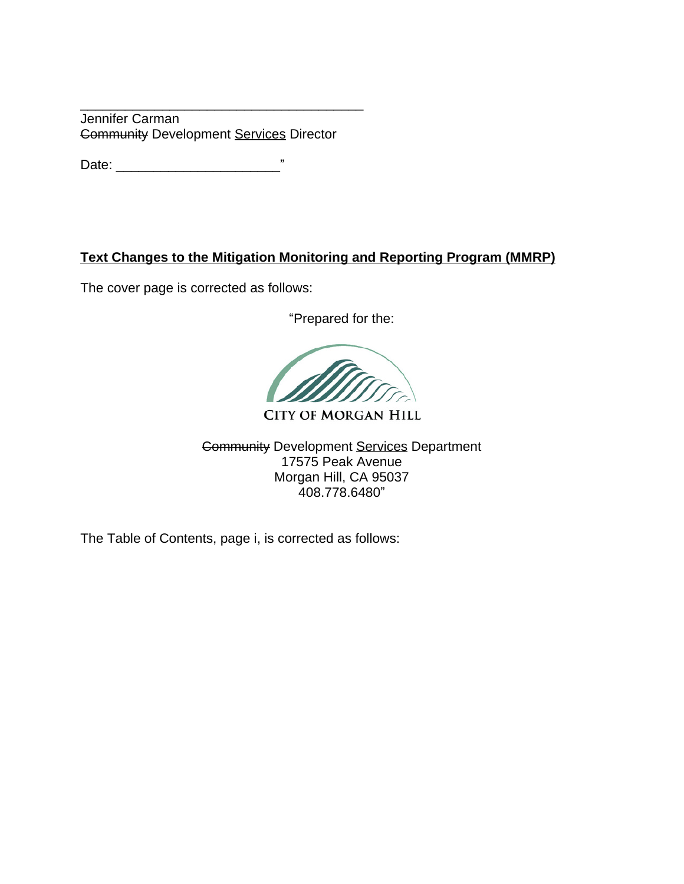\_\_\_\_\_\_\_\_\_\_\_\_\_\_\_\_\_\_\_\_\_\_\_\_\_\_\_\_\_\_\_\_\_\_\_\_\_\_ Jennifer Carman Community Development Services Director

Date: \_\_\_\_\_\_\_\_\_\_\_\_\_\_\_\_\_\_\_\_\_\_"

## **Text Changes to the Mitigation Monitoring and Reporting Program (MMRP)**

The cover page is corrected as follows:

"Prepared for the:

**CITY OF MORGAN HILL** 

Community Development Services Department 17575 Peak Avenue Morgan Hill, CA 95037 408.778.6480"

The Table of Contents, page i, is corrected as follows: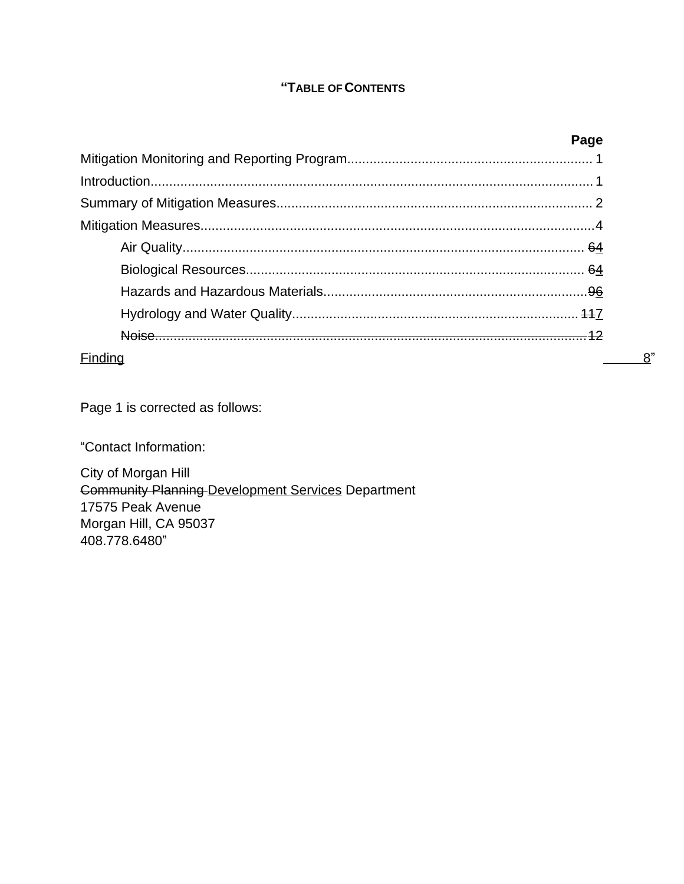#### **"TABLE OF CONTENTS**

|         | Page |
|---------|------|
|         |      |
|         |      |
|         |      |
|         |      |
|         |      |
|         |      |
|         |      |
|         |      |
|         |      |
| Finding |      |

Page 1 is corrected as follows:

"Contact Information:

City of Morgan Hill Community Planning Development Services Department 17575 Peak Avenue Morgan Hill, CA 95037 408.778.6480"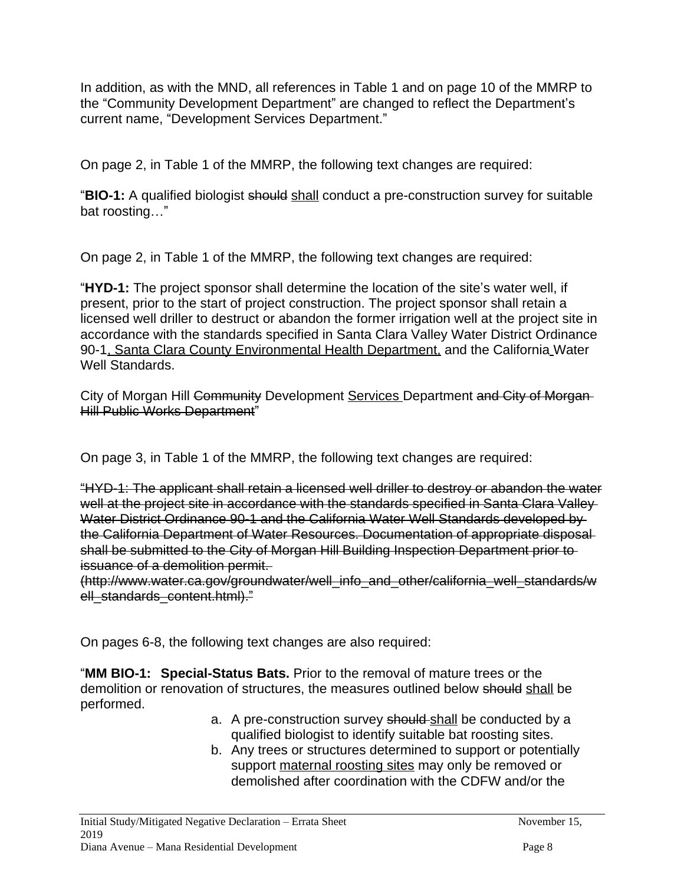In addition, as with the MND, all references in Table 1 and on page 10 of the MMRP to the "Community Development Department" are changed to reflect the Department's current name, "Development Services Department."

On page 2, in Table 1 of the MMRP, the following text changes are required:

"**BIO-1:** A qualified biologist should shall conduct a pre-construction survey for suitable bat roosting…"

On page 2, in Table 1 of the MMRP, the following text changes are required:

"**HYD-1:** The project sponsor shall determine the location of the site's water well, if present, prior to the start of project construction. The project sponsor shall retain a licensed well driller to destruct or abandon the former irrigation well at the project site in accordance with the standards specified in Santa Clara Valley Water District Ordinance 90-1, Santa Clara County Environmental Health Department, and the California Water Well Standards.

City of Morgan Hill Community Development Services Department and City of Morgan Hill Public Works Department"

On page 3, in Table 1 of the MMRP, the following text changes are required:

"HYD-1: The applicant shall retain a licensed well driller to destroy or abandon the water well at the project site in accordance with the standards specified in Santa Clara Valley Water District Ordinance 90-1 and the California Water Well Standards developed by the California Department of Water Resources. Documentation of appropriate disposal shall be submitted to the City of Morgan Hill Building Inspection Department prior to issuance of a demolition permit.

(http://www.water.ca.gov/groundwater/well\_info\_and\_other/california\_well\_standards/w ell standards content.html)."

On pages 6-8, the following text changes are also required:

"**MM BIO-1: Special-Status Bats.** Prior to the removal of mature trees or the demolition or renovation of structures, the measures outlined below should shall be performed.

- a. A pre-construction survey should shall be conducted by a qualified biologist to identify suitable bat roosting sites.
- b. Any trees or structures determined to support or potentially support maternal roosting sites may only be removed or demolished after coordination with the CDFW and/or the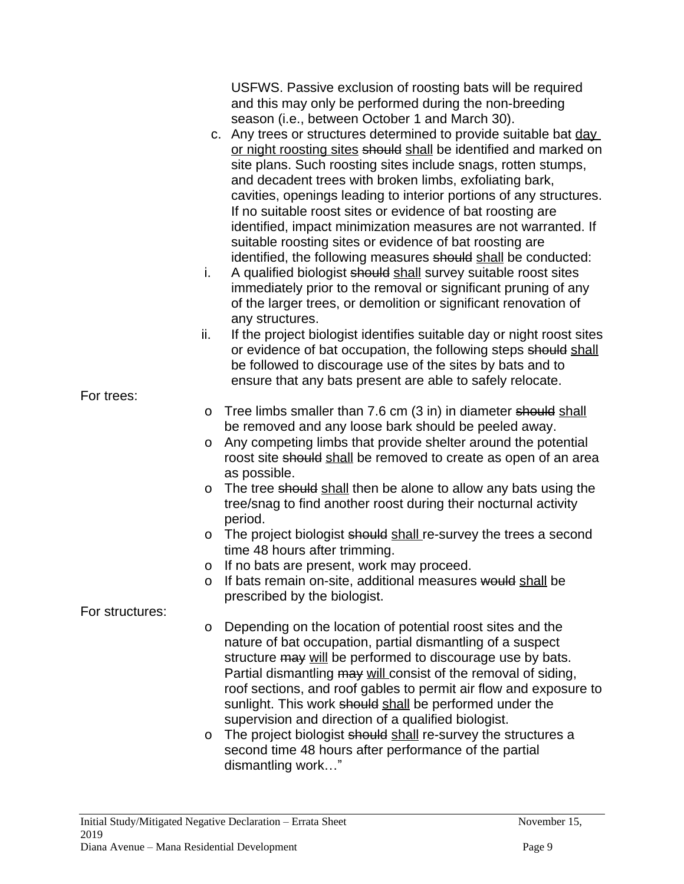|                 | USFWS. Passive exclusion of roosting bats will be required<br>and this may only be performed during the non-breeding                                                                                                                                                                                                                                                                                                                                                                                                                                                                                                                                                                                                                                                                                                                                         |
|-----------------|--------------------------------------------------------------------------------------------------------------------------------------------------------------------------------------------------------------------------------------------------------------------------------------------------------------------------------------------------------------------------------------------------------------------------------------------------------------------------------------------------------------------------------------------------------------------------------------------------------------------------------------------------------------------------------------------------------------------------------------------------------------------------------------------------------------------------------------------------------------|
| i.              | season (i.e., between October 1 and March 30).<br>c. Any trees or structures determined to provide suitable bat day<br>or night roosting sites should shall be identified and marked on<br>site plans. Such roosting sites include snags, rotten stumps,<br>and decadent trees with broken limbs, exfoliating bark,<br>cavities, openings leading to interior portions of any structures.<br>If no suitable roost sites or evidence of bat roosting are<br>identified, impact minimization measures are not warranted. If<br>suitable roosting sites or evidence of bat roosting are<br>identified, the following measures should shall be conducted:<br>A qualified biologist should shall survey suitable roost sites<br>immediately prior to the removal or significant pruning of any<br>of the larger trees, or demolition or significant renovation of |
|                 | any structures.                                                                                                                                                                                                                                                                                                                                                                                                                                                                                                                                                                                                                                                                                                                                                                                                                                              |
| ii.             | If the project biologist identifies suitable day or night roost sites<br>or evidence of bat occupation, the following steps should shall<br>be followed to discourage use of the sites by bats and to                                                                                                                                                                                                                                                                                                                                                                                                                                                                                                                                                                                                                                                        |
| For trees:      | ensure that any bats present are able to safely relocate.                                                                                                                                                                                                                                                                                                                                                                                                                                                                                                                                                                                                                                                                                                                                                                                                    |
| $\circ$         | Tree limbs smaller than 7.6 cm (3 in) in diameter should shall                                                                                                                                                                                                                                                                                                                                                                                                                                                                                                                                                                                                                                                                                                                                                                                               |
| O               | be removed and any loose bark should be peeled away.<br>Any competing limbs that provide shelter around the potential<br>roost site should shall be removed to create as open of an area<br>as possible.                                                                                                                                                                                                                                                                                                                                                                                                                                                                                                                                                                                                                                                     |
| $\circ$         | The tree should shall then be alone to allow any bats using the<br>tree/snag to find another roost during their nocturnal activity<br>period.                                                                                                                                                                                                                                                                                                                                                                                                                                                                                                                                                                                                                                                                                                                |
| $\circ$         | The project biologist should shall re-survey the trees a second<br>time 48 hours after trimming.                                                                                                                                                                                                                                                                                                                                                                                                                                                                                                                                                                                                                                                                                                                                                             |
| O               | If no bats are present, work may proceed.                                                                                                                                                                                                                                                                                                                                                                                                                                                                                                                                                                                                                                                                                                                                                                                                                    |
| O               | If bats remain on-site, additional measures would shall be<br>prescribed by the biologist.                                                                                                                                                                                                                                                                                                                                                                                                                                                                                                                                                                                                                                                                                                                                                                   |
| For structures: |                                                                                                                                                                                                                                                                                                                                                                                                                                                                                                                                                                                                                                                                                                                                                                                                                                                              |
| O<br>O          | Depending on the location of potential roost sites and the<br>nature of bat occupation, partial dismantling of a suspect<br>structure may will be performed to discourage use by bats.<br>Partial dismantling may will consist of the removal of siding,<br>roof sections, and roof gables to permit air flow and exposure to<br>sunlight. This work should shall be performed under the<br>supervision and direction of a qualified biologist.<br>The project biologist should shall re-survey the structures a<br>second time 48 hours after performance of the partial<br>dismantling work"                                                                                                                                                                                                                                                               |
|                 |                                                                                                                                                                                                                                                                                                                                                                                                                                                                                                                                                                                                                                                                                                                                                                                                                                                              |